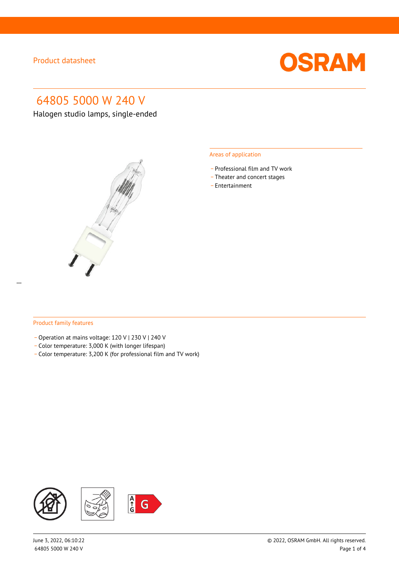

# 64805 5000 W 240 V

Halogen studio lamps, single-ended



#### Areas of application

- \_ Professional film and TV work
- Theater and concert stages
- \_ Entertainment

#### Product family features

- Operation at mains voltage: 120 V | 230 V | 240 V
- \_ Color temperature: 3,000 K (with longer lifespan)
- \_ Color temperature: 3,200 K (for professional film and TV work)

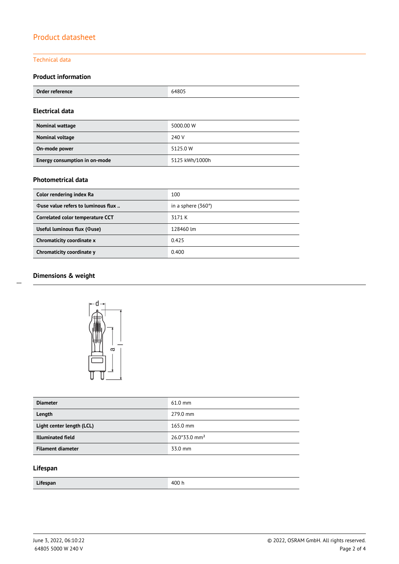### Technical data

### **Product information**

| Order reference<br>ence<br><b>OINGLICTOINTS</b><br>$\overline{\phantom{a}}$ | 64805 |
|-----------------------------------------------------------------------------|-------|
|-----------------------------------------------------------------------------|-------|

#### **Electrical data**

| Nominal wattage               | 5000.00 W      |
|-------------------------------|----------------|
| Nominal voltage               | 240 V          |
| On-mode power                 | 5125.0 W       |
| Energy consumption in on-mode | 5125 kWh/1000h |

### **Photometrical data**

| Color rendering index Ra                  | 100                       |
|-------------------------------------------|---------------------------|
| <b>Ouse value refers to luminous flux</b> | in a sphere $(360^\circ)$ |
| Correlated color temperature CCT          | 3171 K                    |
| Useful luminous flux ( $\Phi$ use)        | 128460 lm                 |
| Chromaticity coordinate x                 | 0.425                     |
| Chromaticity coordinate y                 | 0.400                     |

### **Dimensions & weight**

 $\overline{a}$ 



| <b>Diameter</b>           | $61.0$ mm                   |
|---------------------------|-----------------------------|
| Length                    | 279.0 mm                    |
| Light center length (LCL) | $165.0 \text{ mm}$          |
| <b>Illuminated field</b>  | $26.0*33.0$ mm <sup>2</sup> |
| <b>Filament diameter</b>  | 33.0 mm                     |

### **Lifespan**

| Lifespan<br>_ | $\overline{\phantom{a}}$<br>. .<br>.<br>$\sim$ $\sim$ |
|---------------|-------------------------------------------------------|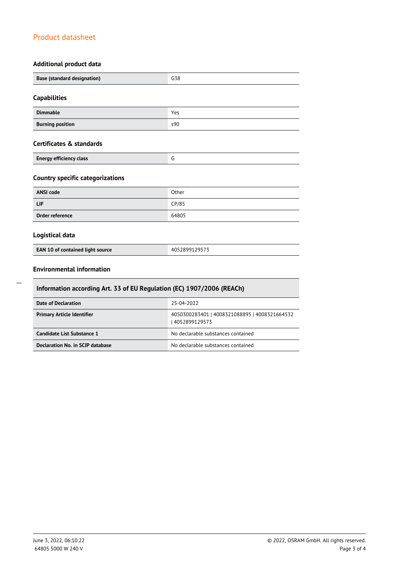### **Additional product data**

| Base (standard designation)                                | G38   |  |
|------------------------------------------------------------|-------|--|
| <b>Capabilities</b>                                        |       |  |
| <b>Dimmable</b>                                            | Yes   |  |
| <b>Burning position</b>                                    | s90   |  |
| Certificates & standards<br><b>Energy efficiency class</b> | G     |  |
| <b>Country specific categorizations</b>                    |       |  |
| <b>ANSI code</b>                                           | Other |  |
| LIF                                                        | CP/85 |  |
| Order reference                                            | 64805 |  |

### **Logistical data**

|--|

### **Environmental information**

| Information according Art. 33 of EU Regulation (EC) 1907/2006 (REACh) |                                                                |  |  |
|-----------------------------------------------------------------------|----------------------------------------------------------------|--|--|
| 25-04-2022<br>Date of Declaration                                     |                                                                |  |  |
| <b>Primary Article Identifier</b>                                     | 4050300283401   4008321088895   4008321664532<br>4052899129573 |  |  |
| Candidate List Substance 1                                            | No declarable substances contained                             |  |  |
| Declaration No. in SCIP database                                      | No declarable substances contained                             |  |  |